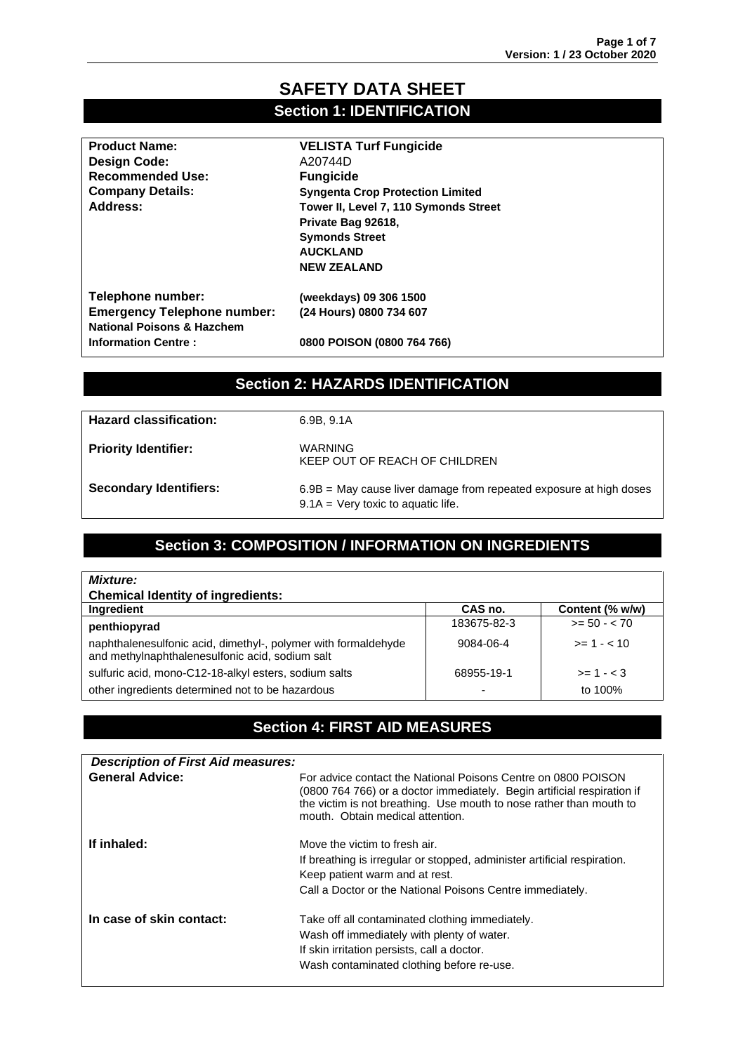## **SAFETY DATA SHEET Section 1: IDENTIFICATION**

| <b>Product Name:</b>                  | <b>VELISTA Turf Fungicide</b>           |
|---------------------------------------|-----------------------------------------|
| Design Code:                          | A20744D                                 |
| <b>Recommended Use:</b>               | <b>Fungicide</b>                        |
| <b>Company Details:</b>               | <b>Syngenta Crop Protection Limited</b> |
| Address:                              | Tower II, Level 7, 110 Symonds Street   |
|                                       | Private Bag 92618,                      |
|                                       | <b>Symonds Street</b>                   |
|                                       | <b>AUCKLAND</b>                         |
|                                       | <b>NEW ZEALAND</b>                      |
| Telephone number:                     | (weekdays) 09 306 1500                  |
| <b>Emergency Telephone number:</b>    | (24 Hours) 0800 734 607                 |
| <b>National Poisons &amp; Hazchem</b> |                                         |
| <b>Information Centre:</b>            | 0800 POISON (0800 764 766)              |
|                                       |                                         |

## **Section 2: HAZARDS IDENTIFICATION**

| <b>Hazard classification:</b> | 6.9B. 9.1A                                                                                                    |
|-------------------------------|---------------------------------------------------------------------------------------------------------------|
| <b>Priority Identifier:</b>   | <b>WARNING</b><br>KEEP OUT OF REACH OF CHILDREN                                                               |
| <b>Secondary Identifiers:</b> | $6.9B$ = May cause liver damage from repeated exposure at high doses<br>$9.1A = V$ ery toxic to aquatic life. |

### **Section 3: COMPOSITION / INFORMATION ON INGREDIENTS**

| <b>Mixture:</b>                                                                                                   |                          |                 |
|-------------------------------------------------------------------------------------------------------------------|--------------------------|-----------------|
| <b>Chemical Identity of ingredients:</b>                                                                          |                          |                 |
| Ingredient                                                                                                        | CAS no.                  | Content (% w/w) |
| penthiopyrad                                                                                                      | 183675-82-3              | $>= 50 - < 70$  |
| naphthalenesulfonic acid, dimethyl-, polymer with formaldehyde<br>and methylnaphthalenesulfonic acid, sodium salt | $9084 - 06 - 4$          | $>= 1 - 10$     |
| sulfuric acid, mono-C12-18-alkyl esters, sodium salts                                                             | 68955-19-1               | $>= 1 - < 3$    |
| other ingredients determined not to be hazardous                                                                  | $\overline{\phantom{a}}$ | to 100%         |

### **Section 4: FIRST AID MEASURES**

| <b>Description of First Aid measures:</b> |                                                                                                                                                                                                                                                     |
|-------------------------------------------|-----------------------------------------------------------------------------------------------------------------------------------------------------------------------------------------------------------------------------------------------------|
| <b>General Advice:</b>                    | For advice contact the National Poisons Centre on 0800 POISON<br>(0800 764 766) or a doctor immediately. Begin artificial respiration if<br>the victim is not breathing. Use mouth to nose rather than mouth to<br>mouth. Obtain medical attention. |
| If inhaled:                               | Move the victim to fresh air.<br>If breathing is irregular or stopped, administer artificial respiration.<br>Keep patient warm and at rest.<br>Call a Doctor or the National Poisons Centre immediately.                                            |
| In case of skin contact:                  | Take off all contaminated clothing immediately.<br>Wash off immediately with plenty of water.<br>If skin irritation persists, call a doctor.<br>Wash contaminated clothing before re-use.                                                           |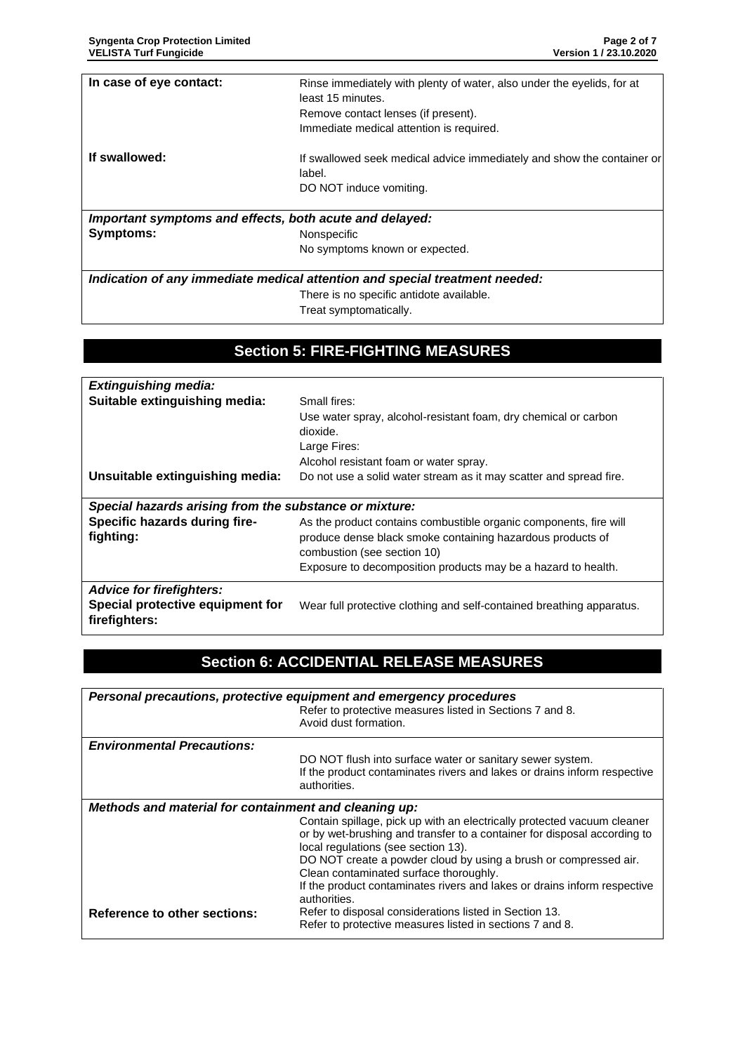| In case of eye contact: | Rinse immediately with plenty of water, also under the eyelids, for at           |
|-------------------------|----------------------------------------------------------------------------------|
|                         | least 15 minutes.                                                                |
|                         | Remove contact lenses (if present).                                              |
|                         | Immediate medical attention is required.                                         |
| If swallowed:           | If swallowed seek medical advice immediately and show the container or<br>label. |
|                         | DO NOT induce vomiting.                                                          |
|                         | Important symptoms and effects, both acute and delayed:                          |
| <b>Symptoms:</b>        | Nonspecific                                                                      |
|                         | No symptoms known or expected.                                                   |
|                         | Indication of any immediate medical attention and special treatment needed:      |
|                         | There is no specific antidote available.                                         |
|                         | Treat symptomatically.                                                           |

### **Section 5: FIRE-FIGHTING MEASURES**

| <b>Extinguishing media:</b>                            |                                                                       |  |
|--------------------------------------------------------|-----------------------------------------------------------------------|--|
| Suitable extinguishing media:                          | Small fires:                                                          |  |
|                                                        | Use water spray, alcohol-resistant foam, dry chemical or carbon       |  |
|                                                        | dioxide.                                                              |  |
|                                                        | Large Fires:                                                          |  |
|                                                        | Alcohol resistant foam or water spray.                                |  |
| Unsuitable extinguishing media:                        | Do not use a solid water stream as it may scatter and spread fire.    |  |
|                                                        |                                                                       |  |
| Special hazards arising from the substance or mixture: |                                                                       |  |
| Specific hazards during fire-                          | As the product contains combustible organic components, fire will     |  |
| fighting:                                              | produce dense black smoke containing hazardous products of            |  |
|                                                        | combustion (see section 10)                                           |  |
|                                                        | Exposure to decomposition products may be a hazard to health.         |  |
| <b>Advice for firefighters:</b>                        |                                                                       |  |
| Special protective equipment for                       | Wear full protective clothing and self-contained breathing apparatus. |  |
| firefighters:                                          |                                                                       |  |
|                                                        |                                                                       |  |

# **Section 6: ACCIDENTIAL RELEASE MEASURES**

| Personal precautions, protective equipment and emergency procedures |                                                                                                                                                                                            |  |
|---------------------------------------------------------------------|--------------------------------------------------------------------------------------------------------------------------------------------------------------------------------------------|--|
|                                                                     | Refer to protective measures listed in Sections 7 and 8.<br>Avoid dust formation.                                                                                                          |  |
| <b>Environmental Precautions:</b>                                   |                                                                                                                                                                                            |  |
|                                                                     | DO NOT flush into surface water or sanitary sewer system.                                                                                                                                  |  |
|                                                                     | If the product contaminates rivers and lakes or drains inform respective<br>authorities.                                                                                                   |  |
| Methods and material for containment and cleaning up:               |                                                                                                                                                                                            |  |
|                                                                     | Contain spillage, pick up with an electrically protected vacuum cleaner<br>or by wet-brushing and transfer to a container for disposal according to<br>local regulations (see section 13). |  |
|                                                                     | DO NOT create a powder cloud by using a brush or compressed air.<br>Clean contaminated surface thoroughly.                                                                                 |  |
|                                                                     | If the product contaminates rivers and lakes or drains inform respective<br>authorities.                                                                                                   |  |
| <b>Reference to other sections:</b>                                 | Refer to disposal considerations listed in Section 13.<br>Refer to protective measures listed in sections 7 and 8.                                                                         |  |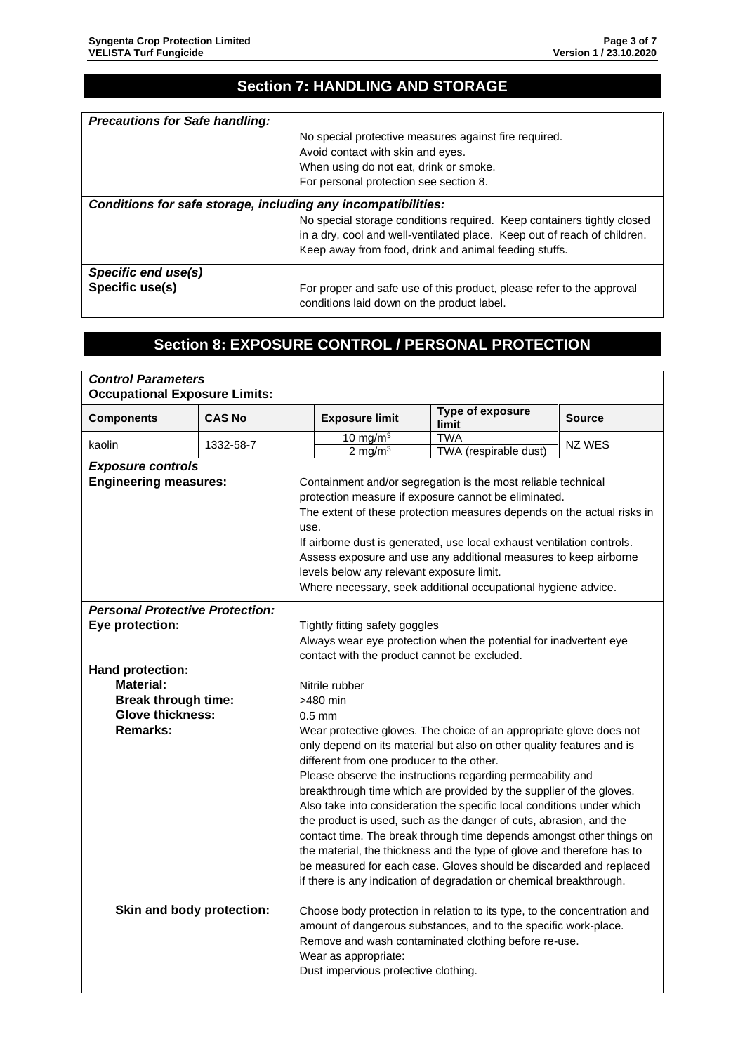# **Section 7: HANDLING AND STORAGE**

| <b>Precautions for Safe handling:</b>                         |                                                                                                                     |  |
|---------------------------------------------------------------|---------------------------------------------------------------------------------------------------------------------|--|
|                                                               | No special protective measures against fire required.                                                               |  |
|                                                               | Avoid contact with skin and eyes.                                                                                   |  |
|                                                               | When using do not eat, drink or smoke.                                                                              |  |
|                                                               | For personal protection see section 8.                                                                              |  |
| Conditions for safe storage, including any incompatibilities: |                                                                                                                     |  |
|                                                               | No special storage conditions required. Keep containers tightly closed                                              |  |
|                                                               | in a dry, cool and well-ventilated place. Keep out of reach of children.                                            |  |
|                                                               | Keep away from food, drink and animal feeding stuffs.                                                               |  |
| Specific end use(s)                                           |                                                                                                                     |  |
| Specific use(s)                                               | For proper and safe use of this product, please refer to the approval<br>conditions laid down on the product label. |  |

## **Section 8: EXPOSURE CONTROL / PERSONAL PROTECTION**

| <b>Control Parameters</b><br><b>Occupational Exposure Limits:</b> |               |                                              |                                                                                                                                   |               |
|-------------------------------------------------------------------|---------------|----------------------------------------------|-----------------------------------------------------------------------------------------------------------------------------------|---------------|
| <b>Components</b>                                                 | <b>CAS No</b> | <b>Exposure limit</b>                        | <b>Type of exposure</b><br>limit                                                                                                  | <b>Source</b> |
| kaolin                                                            | 1332-58-7     | 10 mg/m $3$<br>$2 \text{ mg/m}^3$            | <b>TWA</b><br>TWA (respirable dust)                                                                                               | NZ WES        |
| <b>Exposure controls</b>                                          |               |                                              |                                                                                                                                   |               |
| <b>Engineering measures:</b>                                      |               |                                              | Containment and/or segregation is the most reliable technical                                                                     |               |
|                                                                   |               |                                              | protection measure if exposure cannot be eliminated.                                                                              |               |
|                                                                   |               |                                              | The extent of these protection measures depends on the actual risks in                                                            |               |
|                                                                   | use.          |                                              | If airborne dust is generated, use local exhaust ventilation controls.                                                            |               |
|                                                                   |               |                                              | Assess exposure and use any additional measures to keep airborne                                                                  |               |
|                                                                   |               | levels below any relevant exposure limit.    |                                                                                                                                   |               |
|                                                                   |               |                                              | Where necessary, seek additional occupational hygiene advice.                                                                     |               |
| <b>Personal Protective Protection:</b>                            |               |                                              |                                                                                                                                   |               |
| Eye protection:                                                   |               | Tightly fitting safety goggles               |                                                                                                                                   |               |
|                                                                   |               |                                              | Always wear eye protection when the potential for inadvertent eye                                                                 |               |
|                                                                   |               | contact with the product cannot be excluded. |                                                                                                                                   |               |
| Hand protection:                                                  |               |                                              |                                                                                                                                   |               |
| <b>Material:</b>                                                  |               | Nitrile rubber                               |                                                                                                                                   |               |
| <b>Break through time:</b>                                        |               | >480 min                                     |                                                                                                                                   |               |
| <b>Glove thickness:</b>                                           |               | $0.5$ mm                                     |                                                                                                                                   |               |
| <b>Remarks:</b>                                                   |               |                                              | Wear protective gloves. The choice of an appropriate glove does not                                                               |               |
|                                                                   |               |                                              | only depend on its material but also on other quality features and is                                                             |               |
|                                                                   |               | different from one producer to the other.    |                                                                                                                                   |               |
|                                                                   |               |                                              | Please observe the instructions regarding permeability and<br>breakthrough time which are provided by the supplier of the gloves. |               |
|                                                                   |               |                                              | Also take into consideration the specific local conditions under which                                                            |               |
|                                                                   |               |                                              | the product is used, such as the danger of cuts, abrasion, and the                                                                |               |
|                                                                   |               |                                              | contact time. The break through time depends amongst other things on                                                              |               |
|                                                                   |               |                                              | the material, the thickness and the type of glove and therefore has to                                                            |               |
|                                                                   |               |                                              | be measured for each case. Gloves should be discarded and replaced                                                                |               |
|                                                                   |               |                                              | if there is any indication of degradation or chemical breakthrough.                                                               |               |
| Skin and body protection:                                         |               |                                              | Choose body protection in relation to its type, to the concentration and                                                          |               |
|                                                                   |               |                                              | amount of dangerous substances, and to the specific work-place.                                                                   |               |
|                                                                   |               |                                              | Remove and wash contaminated clothing before re-use.                                                                              |               |
|                                                                   |               | Wear as appropriate:                         |                                                                                                                                   |               |
|                                                                   |               | Dust impervious protective clothing.         |                                                                                                                                   |               |
|                                                                   |               |                                              |                                                                                                                                   |               |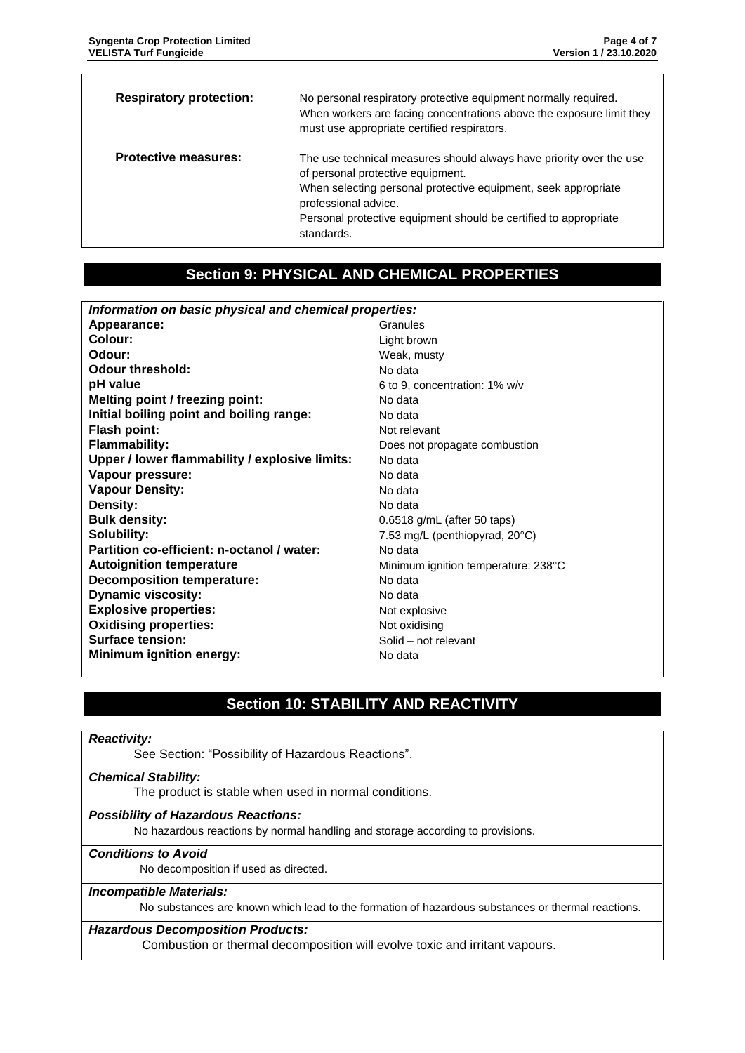| <b>Respiratory protection:</b> | No personal respiratory protective equipment normally required.<br>When workers are facing concentrations above the exposure limit they<br>must use appropriate certified respirators.             |
|--------------------------------|----------------------------------------------------------------------------------------------------------------------------------------------------------------------------------------------------|
| <b>Protective measures:</b>    | The use technical measures should always have priority over the use<br>of personal protective equipment.<br>When selecting personal protective equipment, seek appropriate<br>professional advice. |
|                                | Personal protective equipment should be certified to appropriate<br>standards.                                                                                                                     |

## **Section 9: PHYSICAL AND CHEMICAL PROPERTIES**

| Information on basic physical and chemical properties: |  |  |
|--------------------------------------------------------|--|--|
| Granules                                               |  |  |
| Light brown                                            |  |  |
| Weak, musty                                            |  |  |
| No data                                                |  |  |
| 6 to 9, concentration: 1% w/v                          |  |  |
| No data                                                |  |  |
| No data                                                |  |  |
| Not relevant                                           |  |  |
| Does not propagate combustion                          |  |  |
| No data                                                |  |  |
| No data                                                |  |  |
| No data                                                |  |  |
| No data                                                |  |  |
| 0.6518 g/mL (after 50 taps)                            |  |  |
| 7.53 mg/L (penthiopyrad, $20^{\circ}$ C)               |  |  |
| No data                                                |  |  |
| Minimum ignition temperature: 238°C                    |  |  |
| No data                                                |  |  |
| No data                                                |  |  |
| Not explosive                                          |  |  |
| Not oxidising                                          |  |  |
| Solid - not relevant                                   |  |  |
| No data                                                |  |  |
|                                                        |  |  |

# **Section 10: STABILITY AND REACTIVITY**

*Reactivity:*

See Section: "Possibility of Hazardous Reactions".

#### *Chemical Stability:*

The product is stable when used in normal conditions.

### *Possibility of Hazardous Reactions:*

No hazardous reactions by normal handling and storage according to provisions.

### *Conditions to Avoid*

No decomposition if used as directed.

### *Incompatible Materials:*

No substances are known which lead to the formation of hazardous substances or thermal reactions.

### *Hazardous Decomposition Products:*

Combustion or thermal decomposition will evolve toxic and irritant vapours.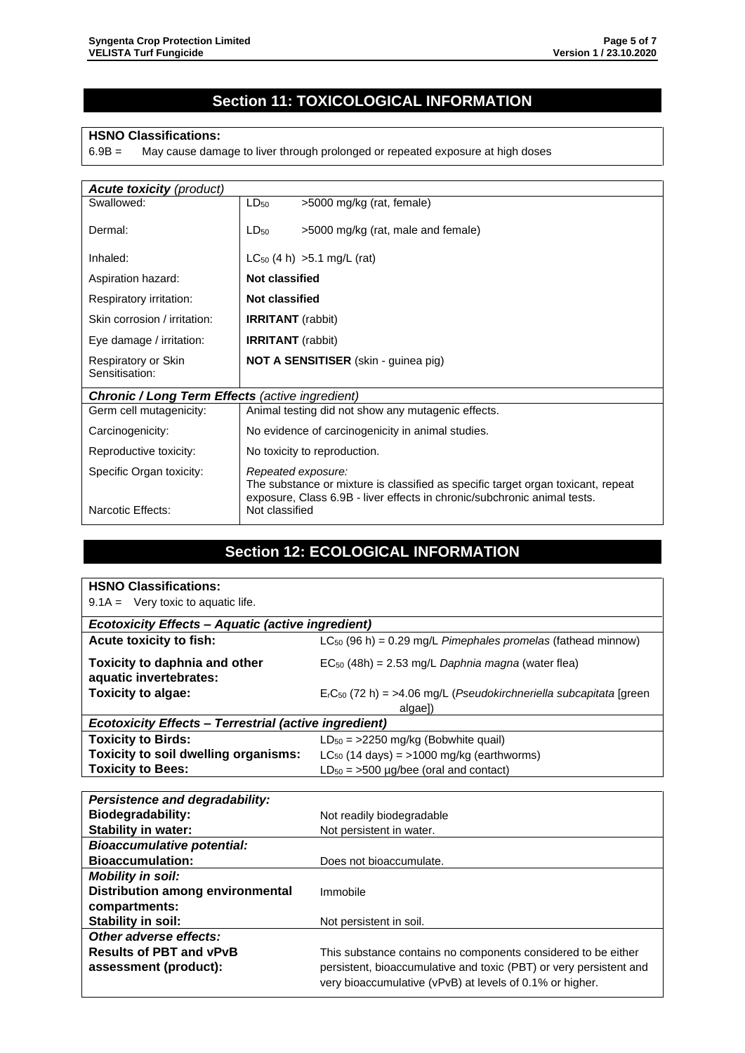## **Section 11: TOXICOLOGICAL INFORMATION**

#### **HSNO Classifications:**

6.9B = May cause damage to liver through prolonged or repeated exposure at high doses

| <b>Acute toxicity (product)</b>                        |                                                                                                                                                                                    |  |
|--------------------------------------------------------|------------------------------------------------------------------------------------------------------------------------------------------------------------------------------------|--|
| Swallowed:                                             | $LD_{50}$<br>>5000 mg/kg (rat, female)                                                                                                                                             |  |
| Dermal:                                                | LD <sub>50</sub><br>>5000 mg/kg (rat, male and female)                                                                                                                             |  |
| Inhaled:                                               | $LC_{50}$ (4 h) > 5.1 mg/L (rat)                                                                                                                                                   |  |
| Aspiration hazard:                                     | Not classified                                                                                                                                                                     |  |
| Respiratory irritation:                                | Not classified                                                                                                                                                                     |  |
| Skin corrosion / irritation:                           | <b>IRRITANT</b> (rabbit)                                                                                                                                                           |  |
| Eye damage / irritation:                               | <b>IRRITANT</b> (rabbit)                                                                                                                                                           |  |
| Respiratory or Skin<br>Sensitisation:                  | <b>NOT A SENSITISER</b> (skin - guinea pig)                                                                                                                                        |  |
| <b>Chronic / Long Term Effects (active ingredient)</b> |                                                                                                                                                                                    |  |
| Germ cell mutagenicity:                                | Animal testing did not show any mutagenic effects.                                                                                                                                 |  |
| Carcinogenicity:                                       | No evidence of carcinogenicity in animal studies.                                                                                                                                  |  |
| Reproductive toxicity:                                 | No toxicity to reproduction.                                                                                                                                                       |  |
| Specific Organ toxicity:                               | Repeated exposure:<br>The substance or mixture is classified as specific target organ toxicant, repeat<br>exposure, Class 6.9B - liver effects in chronic/subchronic animal tests. |  |
| Narcotic Effects:                                      | Not classified                                                                                                                                                                     |  |

## **Section 12: ECOLOGICAL INFORMATION**

#### **HSNO Classifications:**

| <b>Ecotoxicity Effects - Aquatic (active ingredient)</b>            |  |  |  |  |
|---------------------------------------------------------------------|--|--|--|--|
| $LC_{50}$ (96 h) = 0.29 mg/L Pimephales promelas (fathead minnow)   |  |  |  |  |
| $EC_{50}$ (48h) = 2.53 mg/L Daphnia magna (water flea)              |  |  |  |  |
| $ErC50$ (72 h) = >4.06 mg/L (Pseudokirchneriella subcapitata [green |  |  |  |  |
| algae])                                                             |  |  |  |  |
| <b>Ecotoxicity Effects - Terrestrial (active ingredient)</b>        |  |  |  |  |
| $LD_{50}$ = >2250 mg/kg (Bobwhite quail)                            |  |  |  |  |
| $LC_{50}$ (14 days) = >1000 mg/kg (earthworms)                      |  |  |  |  |
| $LD_{50}$ = >500 µg/bee (oral and contact)                          |  |  |  |  |
|                                                                     |  |  |  |  |

| <b>Persistence and degradability:</b>   |                                                                                                                                |  |  |
|-----------------------------------------|--------------------------------------------------------------------------------------------------------------------------------|--|--|
| <b>Biodegradability:</b>                | Not readily biodegradable                                                                                                      |  |  |
| <b>Stability in water:</b>              | Not persistent in water.                                                                                                       |  |  |
| <b>Bioaccumulative potential:</b>       |                                                                                                                                |  |  |
| <b>Bioaccumulation:</b>                 | Does not bioaccumulate.                                                                                                        |  |  |
| <b>Mobility in soil:</b>                |                                                                                                                                |  |  |
| <b>Distribution among environmental</b> | Immobile                                                                                                                       |  |  |
| compartments:                           |                                                                                                                                |  |  |
| Stability in soil:                      | Not persistent in soil.                                                                                                        |  |  |
| Other adverse effects:                  |                                                                                                                                |  |  |
| <b>Results of PBT and vPvB</b>          | This substance contains no components considered to be either                                                                  |  |  |
| assessment (product):                   | persistent, bioaccumulative and toxic (PBT) or very persistent and<br>very bioaccumulative (vPvB) at levels of 0.1% or higher. |  |  |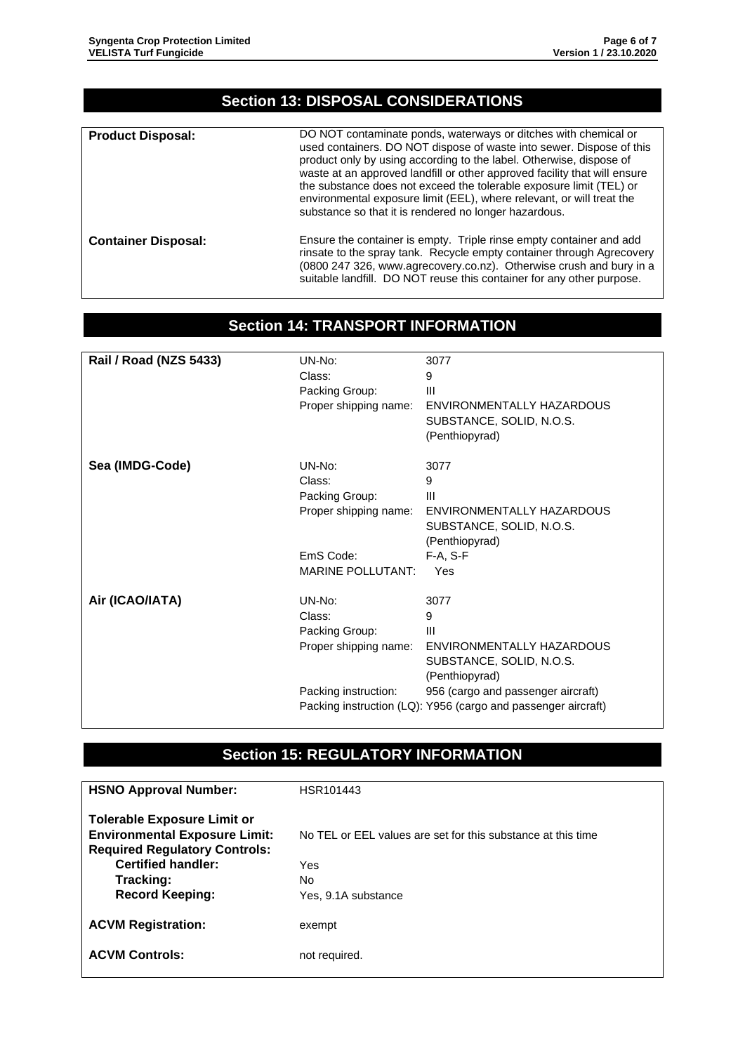# **Section 13: DISPOSAL CONSIDERATIONS**

| <b>Product Disposal:</b>   | DO NOT contaminate ponds, waterways or ditches with chemical or<br>used containers. DO NOT dispose of waste into sewer. Dispose of this<br>product only by using according to the label. Otherwise, dispose of<br>waste at an approved landfill or other approved facility that will ensure<br>the substance does not exceed the tolerable exposure limit (TEL) or<br>environmental exposure limit (EEL), where relevant, or will treat the<br>substance so that it is rendered no longer hazardous. |
|----------------------------|------------------------------------------------------------------------------------------------------------------------------------------------------------------------------------------------------------------------------------------------------------------------------------------------------------------------------------------------------------------------------------------------------------------------------------------------------------------------------------------------------|
| <b>Container Disposal:</b> | Ensure the container is empty. Triple rinse empty container and add<br>rinsate to the spray tank. Recycle empty container through Agrecovery<br>(0800 247 326, www.agrecovery.co.nz). Otherwise crush and bury in a<br>suitable landfill. DO NOT reuse this container for any other purpose.                                                                                                                                                                                                         |

# **Section 14: TRANSPORT INFORMATION**

| <b>Rail / Road (NZS 5433)</b> | UN-No:<br>Class:<br>Packing Group:<br>Proper shipping name: | 3077<br>9<br>Ш<br>ENVIRONMENTALLY HAZARDOUS<br>SUBSTANCE, SOLID, N.O.S.<br>(Penthiopyrad)              |
|-------------------------------|-------------------------------------------------------------|--------------------------------------------------------------------------------------------------------|
| Sea (IMDG-Code)               | UN-No:<br>Class:<br>Packing Group:<br>Proper shipping name: | 3077<br>9<br>Ш<br>ENVIRONMENTALLY HAZARDOUS<br>SUBSTANCE, SOLID, N.O.S.<br>(Penthiopyrad)              |
|                               | EmS Code:<br><b>MARINE POLLUTANT:</b>                       | $F-A, S-F$<br>Yes                                                                                      |
| Air (ICAO/IATA)               | UN-No:<br>Class:<br>Packing Group:<br>Proper shipping name: | 3077<br>9<br>$\mathbf{III}$<br>ENVIRONMENTALLY HAZARDOUS<br>SUBSTANCE, SOLID, N.O.S.<br>(Penthiopyrad) |
|                               | Packing instruction:                                        | 956 (cargo and passenger aircraft)<br>Packing instruction (LQ): Y956 (cargo and passenger aircraft)    |

### **Section 15: REGULATORY INFORMATION**

| <b>HSNO Approval Number:</b>                                                                                       | HSR101443                                                    |
|--------------------------------------------------------------------------------------------------------------------|--------------------------------------------------------------|
| <b>Tolerable Exposure Limit or</b><br><b>Environmental Exposure Limit:</b><br><b>Required Regulatory Controls:</b> | No TEL or EEL values are set for this substance at this time |
| <b>Certified handler:</b><br>Tracking:                                                                             | Yes<br>No.                                                   |
| <b>Record Keeping:</b>                                                                                             | Yes, 9.1A substance                                          |
| <b>ACVM Registration:</b>                                                                                          | exempt                                                       |
| <b>ACVM Controls:</b>                                                                                              | not required.                                                |